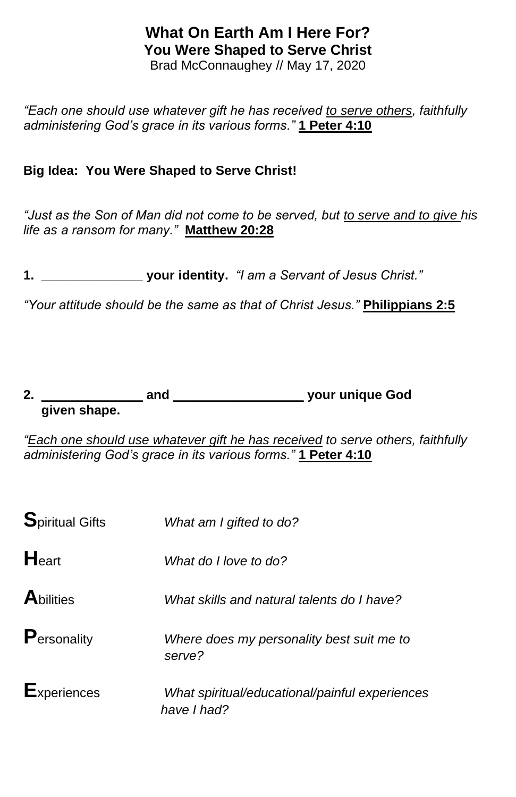# **What On Earth Am I Here For? You Were Shaped to Serve Christ**

Brad McConnaughey // May 17, 2020

*"Each one should use whatever gift he has received to serve others, faithfully administering God's grace in its various forms."* **1 Peter 4:10**

#### **Big Idea: You Were Shaped to Serve Christ!**

*"Just as the Son of Man did not come to be served, but to serve and to give his life as a ransom for many."* **Matthew 20:28**

**1. \_\_\_\_\_\_\_\_\_\_\_\_\_\_ your identity.** *"I am a Servant of Jesus Christ."*

*"Your attitude should be the same as that of Christ Jesus."* **Philippians 2:5**

#### **2. \_\_\_\_\_\_\_\_\_\_\_\_\_\_ and \_\_\_\_\_\_\_\_\_\_\_\_\_\_\_\_\_\_ your unique God given shape.**

*"Each one should use whatever gift he has received to serve others, faithfully administering God's grace in its various forms."* **1 Peter 4:10**

| <b>Spiritual Gifts</b> | What am I gifted to do?                                       |
|------------------------|---------------------------------------------------------------|
| Heart                  | What do I love to do?                                         |
| <b>A</b> bilities      | What skills and natural talents do I have?                    |
| Personality            | Where does my personality best suit me to<br>serve?           |
| <b>Experiences</b>     | What spiritual/educational/painful experiences<br>have I had? |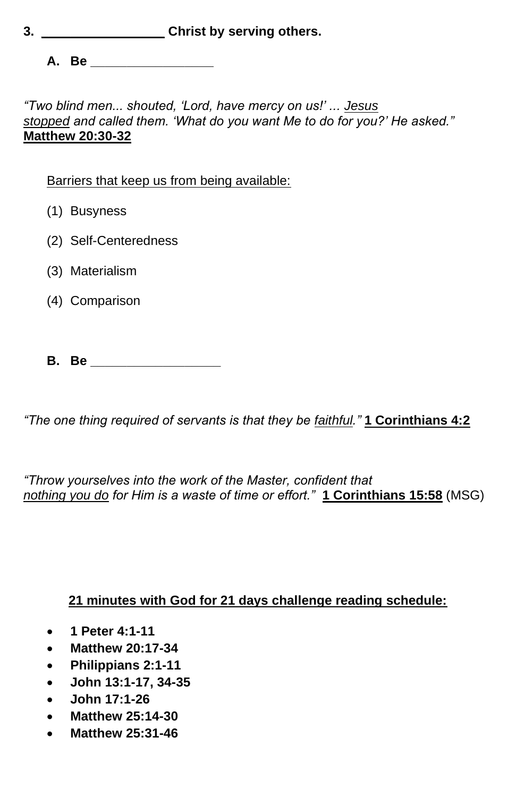**3. \_\_\_\_\_\_\_\_\_\_\_\_\_\_\_\_\_ Christ by serving others.**

**A. Be \_\_\_\_\_\_\_\_\_\_\_\_\_\_\_\_\_**

*"Two blind men... shouted, 'Lord, have mercy on us!' ... Jesus stopped and called them. 'What do you want Me to do for you?' He asked."*  **Matthew 20:30-32**

Barriers that keep us from being available:

- (1) Busyness
- (2) Self-Centeredness
- (3) Materialism
- (4) Comparison
- **B. Be \_\_\_\_\_\_\_\_\_\_\_\_\_\_\_\_\_\_**

*"The one thing required of servants is that they be faithful."* **1 Corinthians 4:2**

*"Throw yourselves into the work of the Master, confident that nothing you do for Him is a waste of time or effort."* **1 Corinthians 15:58** (MSG)

### **21 minutes with God for 21 days challenge reading schedule:**

- **1 Peter 4:1-11**
- **Matthew 20:17-34**
- **Philippians 2:1-11**
- **John 13:1-17, 34-35**
- **John 17:1-26**
- **Matthew 25:14-30**
- **Matthew 25:31-46**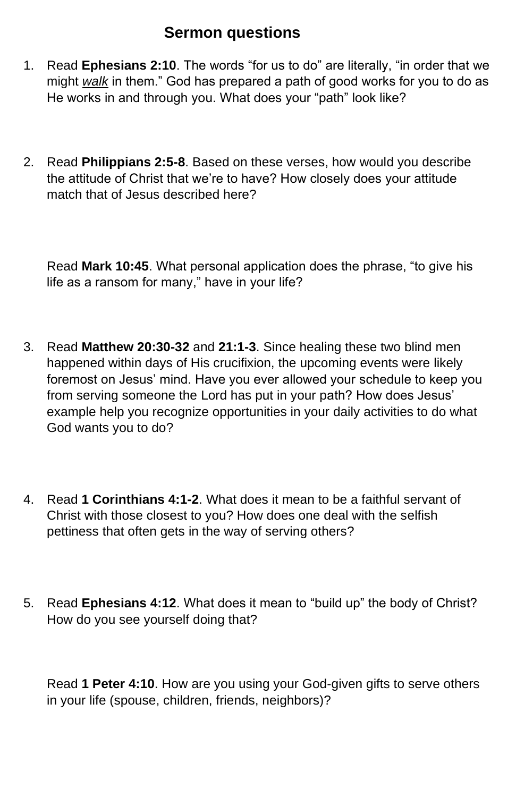## **Sermon questions**

- 1. Read **Ephesians 2:10**. The words "for us to do" are literally, "in order that we might *walk* in them." God has prepared a path of good works for you to do as He works in and through you. What does your "path" look like?
- 2. Read **Philippians 2:5-8**. Based on these verses, how would you describe the attitude of Christ that we're to have? How closely does your attitude match that of Jesus described here?

Read **Mark 10:45**. What personal application does the phrase, "to give his life as a ransom for many," have in your life?

- 3. Read **Matthew 20:30-32** and **21:1-3**. Since healing these two blind men happened within days of His crucifixion, the upcoming events were likely foremost on Jesus' mind. Have you ever allowed your schedule to keep you from serving someone the Lord has put in your path? How does Jesus' example help you recognize opportunities in your daily activities to do what God wants you to do?
- 4. Read **1 Corinthians 4:1-2**. What does it mean to be a faithful servant of Christ with those closest to you? How does one deal with the selfish pettiness that often gets in the way of serving others?
- 5. Read **Ephesians 4:12**. What does it mean to "build up" the body of Christ? How do you see yourself doing that?

Read **1 Peter 4:10**. How are you using your God-given gifts to serve others in your life (spouse, children, friends, neighbors)?